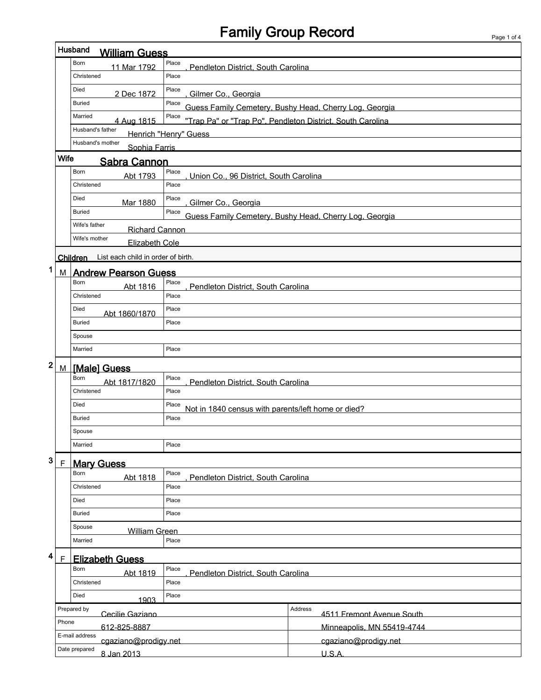## Family Group Record Page 1 of 4

 $\overline{1}$ 

|                                                                 |             | Husband<br><b>William Guess</b>                |                                                                     |                                                        |  |  |
|-----------------------------------------------------------------|-------------|------------------------------------------------|---------------------------------------------------------------------|--------------------------------------------------------|--|--|
|                                                                 |             | Born<br>11 Mar 1792                            | Place<br>Pendleton District, South Carolina                         |                                                        |  |  |
|                                                                 |             | Christened                                     | Place                                                               |                                                        |  |  |
|                                                                 |             | Died<br>2 Dec 1872                             | Place<br>Gilmer Co., Georgia                                        |                                                        |  |  |
|                                                                 |             | <b>Buried</b>                                  | Place                                                               | Guess Family Cemetery, Bushy Head, Cherry Log, Georgia |  |  |
|                                                                 |             | Married<br>4 Aug 1815                          | Place<br>"Trap Pa" or "Trap Po", Pendleton District, South Carolina |                                                        |  |  |
|                                                                 |             | Husband's father                               | Henrich "Henry" Guess                                               |                                                        |  |  |
|                                                                 |             | Husband's mother<br>Sophia Farris              |                                                                     |                                                        |  |  |
|                                                                 | Wife        | <b>Sabra Cannon</b>                            |                                                                     |                                                        |  |  |
|                                                                 |             | Born<br>Abt 1793                               | Place<br>Union Co., 96 District, South Carolina                     |                                                        |  |  |
|                                                                 |             | Christened                                     | Place                                                               |                                                        |  |  |
|                                                                 |             | Died<br>Mar 1880                               | Place<br>Gilmer Co., Georgia                                        |                                                        |  |  |
|                                                                 |             | <b>Buried</b>                                  | Place                                                               | Guess Family Cemetery, Bushy Head, Cherry Log, Georgia |  |  |
|                                                                 |             | Wife's father<br><b>Richard Cannon</b>         |                                                                     |                                                        |  |  |
|                                                                 |             | Wife's mother<br><b>Elizabeth Cole</b>         |                                                                     |                                                        |  |  |
|                                                                 |             | List each child in order of birth.<br>Children |                                                                     |                                                        |  |  |
| 1                                                               | M I         | <b>Andrew Pearson Guess</b>                    |                                                                     |                                                        |  |  |
|                                                                 |             | Born<br>Abt 1816                               | Place<br>Pendleton District, South Carolina                         |                                                        |  |  |
|                                                                 |             | Christened                                     | Place                                                               |                                                        |  |  |
|                                                                 |             | Died<br>Abt 1860/1870                          | Place                                                               |                                                        |  |  |
|                                                                 |             | <b>Buried</b>                                  | Place                                                               |                                                        |  |  |
|                                                                 |             | Spouse                                         |                                                                     |                                                        |  |  |
|                                                                 |             | Married                                        | Place                                                               |                                                        |  |  |
| 2                                                               | M           | [Male] Guess                                   |                                                                     |                                                        |  |  |
|                                                                 |             | Born<br>Abt 1817/1820                          | Place<br>Pendleton District, South Carolina                         |                                                        |  |  |
|                                                                 |             | Christened                                     | Place                                                               |                                                        |  |  |
|                                                                 |             | Died                                           | Place<br>Not in 1840 census with parents/left home or died?         |                                                        |  |  |
|                                                                 |             | <b>Buried</b>                                  | Place                                                               |                                                        |  |  |
| Spouse                                                          |             |                                                |                                                                     |                                                        |  |  |
|                                                                 |             | Married                                        | Place                                                               |                                                        |  |  |
| 3                                                               | $\mathsf F$ | <b>Mary Guess</b>                              |                                                                     |                                                        |  |  |
|                                                                 |             | Born<br>Abt 1818                               | Place<br>Pendleton District, South Carolina                         |                                                        |  |  |
|                                                                 |             | Christened                                     | Place                                                               |                                                        |  |  |
|                                                                 |             | Died                                           | Place                                                               |                                                        |  |  |
|                                                                 |             | <b>Buried</b>                                  | Place                                                               |                                                        |  |  |
|                                                                 |             | Spouse<br><b>William Green</b>                 |                                                                     |                                                        |  |  |
|                                                                 |             | Place<br>Married                               |                                                                     |                                                        |  |  |
| 4                                                               | F           | <b>Elizabeth Guess</b>                         |                                                                     |                                                        |  |  |
| Place<br>Born<br>Abt 1819<br>Pendleton District, South Carolina |             |                                                |                                                                     |                                                        |  |  |
|                                                                 |             | Christened                                     | Place                                                               |                                                        |  |  |
|                                                                 |             | Died<br>1903                                   | Place                                                               |                                                        |  |  |
|                                                                 |             | Prepared by<br>Cecilie Gaziano                 |                                                                     | Address<br>4511 Fremont Avenue South                   |  |  |
|                                                                 | Phone       | 612-825-8887                                   |                                                                     | Minneapolis, MN 55419-4744                             |  |  |
|                                                                 |             | E-mail address<br>cgaziano@prodigy.net         |                                                                     | cgaziano@prodigy.net                                   |  |  |
|                                                                 |             |                                                |                                                                     |                                                        |  |  |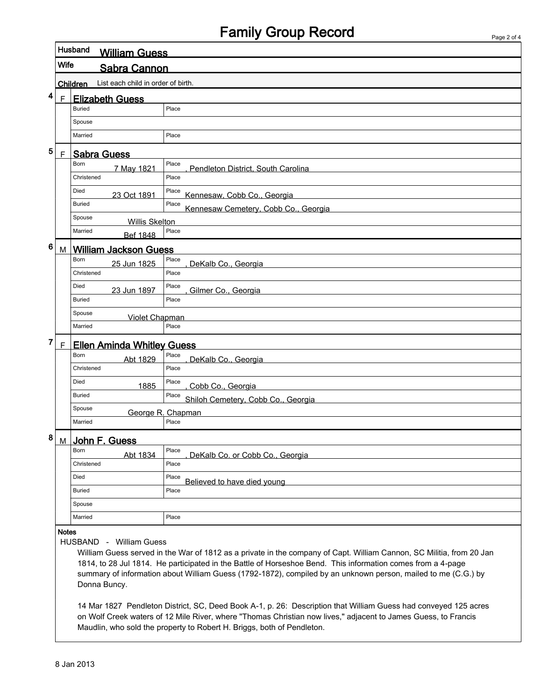## Family Group Record

|             | Husband               | <b>William Guess</b>                    |                                                                                                                                                                                                                                                                                                                                                      |  |  |  |
|-------------|-----------------------|-----------------------------------------|------------------------------------------------------------------------------------------------------------------------------------------------------------------------------------------------------------------------------------------------------------------------------------------------------------------------------------------------------|--|--|--|
|             | Wife                  | Sabra Cannon                            |                                                                                                                                                                                                                                                                                                                                                      |  |  |  |
|             | Children              | List each child in order of birth.      |                                                                                                                                                                                                                                                                                                                                                      |  |  |  |
| $\mathsf F$ |                       | <b>Elizabeth Guess</b>                  |                                                                                                                                                                                                                                                                                                                                                      |  |  |  |
|             | <b>Buried</b>         |                                         | Place                                                                                                                                                                                                                                                                                                                                                |  |  |  |
|             | Spouse                |                                         |                                                                                                                                                                                                                                                                                                                                                      |  |  |  |
|             | Married               |                                         | Place                                                                                                                                                                                                                                                                                                                                                |  |  |  |
| F           |                       | <b>Sabra Guess</b>                      |                                                                                                                                                                                                                                                                                                                                                      |  |  |  |
|             | <b>Born</b>           | 7 May 1821                              | Place<br>Pendleton District, South Carolina                                                                                                                                                                                                                                                                                                          |  |  |  |
|             | Christened            |                                         | Place                                                                                                                                                                                                                                                                                                                                                |  |  |  |
|             | Died                  | 23 Oct 1891                             | Place<br>Kennesaw, Cobb Co., Georgia                                                                                                                                                                                                                                                                                                                 |  |  |  |
|             | <b>Buried</b>         |                                         | Place<br>Kennesaw Cemetery, Cobb Co., Georgia                                                                                                                                                                                                                                                                                                        |  |  |  |
|             | Spouse                | <b>Willis Skelton</b>                   |                                                                                                                                                                                                                                                                                                                                                      |  |  |  |
|             | Married               | <b>Bef 1848</b>                         | Place                                                                                                                                                                                                                                                                                                                                                |  |  |  |
|             | M                     | <b>William Jackson Guess</b>            |                                                                                                                                                                                                                                                                                                                                                      |  |  |  |
|             | <b>Born</b>           | 25 Jun 1825                             | Place<br>DeKalb Co., Georgia                                                                                                                                                                                                                                                                                                                         |  |  |  |
|             | Christened            |                                         | Place                                                                                                                                                                                                                                                                                                                                                |  |  |  |
|             | Died                  | 23 Jun 1897                             | Place<br>Gilmer Co., Georgia                                                                                                                                                                                                                                                                                                                         |  |  |  |
|             | <b>Buried</b>         |                                         | Place                                                                                                                                                                                                                                                                                                                                                |  |  |  |
|             | Spouse                | <b>Violet Chapman</b>                   |                                                                                                                                                                                                                                                                                                                                                      |  |  |  |
|             | Married               |                                         | Place                                                                                                                                                                                                                                                                                                                                                |  |  |  |
| F           |                       | <b>Ellen Aminda Whitley Guess</b>       |                                                                                                                                                                                                                                                                                                                                                      |  |  |  |
|             | <b>Born</b>           | Abt 1829                                | Place<br>DeKalb Co., Georgia                                                                                                                                                                                                                                                                                                                         |  |  |  |
|             | Christened            |                                         | Place                                                                                                                                                                                                                                                                                                                                                |  |  |  |
|             | Died<br><b>Buried</b> | 1885                                    | Place<br>Cobb Co., Georgia<br>Place                                                                                                                                                                                                                                                                                                                  |  |  |  |
|             | Spouse                |                                         | Shiloh Cemetery, Cobb Co., Georgia                                                                                                                                                                                                                                                                                                                   |  |  |  |
|             | Married               |                                         | George R. Chapman<br>Place                                                                                                                                                                                                                                                                                                                           |  |  |  |
|             |                       |                                         |                                                                                                                                                                                                                                                                                                                                                      |  |  |  |
| M           | Born                  | John F. Guess                           | Place                                                                                                                                                                                                                                                                                                                                                |  |  |  |
|             | Christened            | Abt 1834                                | DeKalb Co. or Cobb Co., Georgia<br>Place                                                                                                                                                                                                                                                                                                             |  |  |  |
|             | Died                  |                                         | Place                                                                                                                                                                                                                                                                                                                                                |  |  |  |
|             | <b>Buried</b>         |                                         | Believed to have died young<br>Place                                                                                                                                                                                                                                                                                                                 |  |  |  |
|             | Spouse                |                                         |                                                                                                                                                                                                                                                                                                                                                      |  |  |  |
|             | Married               |                                         | Place                                                                                                                                                                                                                                                                                                                                                |  |  |  |
|             | <b>Notes</b>          | HUSBAND - William Guess<br>Donna Buncy. | William Guess served in the War of 1812 as a private in the company of Capt. William Cannon, SC Militia, from 20 Jan<br>1814, to 28 Jul 1814. He participated in the Battle of Horseshoe Bend. This information comes from a 4-page<br>summary of information about William Guess (1792-1872), compiled by an unknown person, mailed to me (C.G.) by |  |  |  |
|             |                       |                                         | 14 Mar 1827 Pendleton District, SC, Deed Book A-1, p. 26: Description that William Guess had conveyed 125 acres                                                                                                                                                                                                                                      |  |  |  |

on Wolf Creek waters of 12 Mile River, where "Thomas Christian now lives," adjacent to James Guess, to Francis

Maudlin, who sold the property to Robert H. Briggs, both of Pendleton.

8 Jan 2013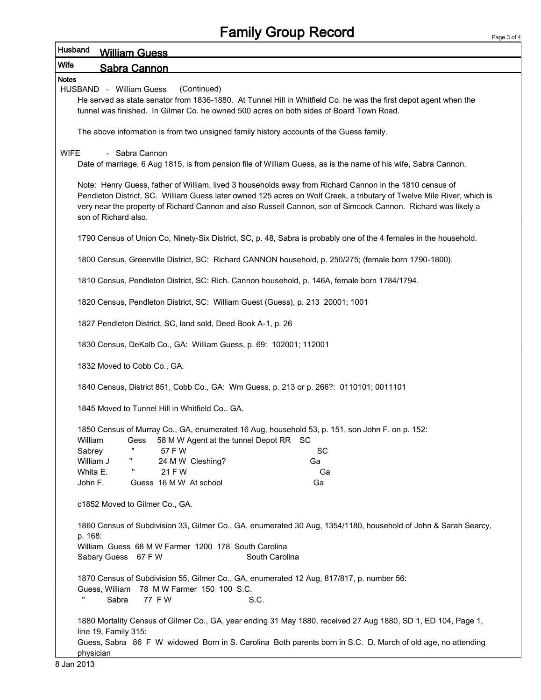| <b>Wife</b>                                                                                                                                                                                                                                                                                                                                                               |
|---------------------------------------------------------------------------------------------------------------------------------------------------------------------------------------------------------------------------------------------------------------------------------------------------------------------------------------------------------------------------|
| <b>Sabra Cannon</b>                                                                                                                                                                                                                                                                                                                                                       |
| <b>Notes</b><br>HUSBAND - William Guess<br>(Continued)<br>He served as state senator from 1836-1880. At Tunnel Hill in Whitfield Co. he was the first depot agent when the<br>tunnel was finished. In Gilmer Co. he owned 500 acres on both sides of Board Town Road.                                                                                                     |
| The above information is from two unsigned family history accounts of the Guess family.                                                                                                                                                                                                                                                                                   |
| - Sabra Cannon<br><b>WIFE</b><br>Date of marriage, 6 Aug 1815, is from pension file of William Guess, as is the name of his wife, Sabra Cannon.                                                                                                                                                                                                                           |
| Note: Henry Guess, father of William, lived 3 households away from Richard Cannon in the 1810 census of<br>Pendleton District, SC. William Guess later owned 125 acres on Wolf Creek, a tributary of Twelve Mile River, which is<br>very near the property of Richard Cannon and also Russell Cannon, son of Simcock Cannon. Richard was likely a<br>son of Richard also. |
| 1790 Census of Union Co, Ninety-Six District, SC, p. 48, Sabra is probably one of the 4 females in the household.                                                                                                                                                                                                                                                         |
| 1800 Census, Greenville District, SC: Richard CANNON household, p. 250/275; (female born 1790-1800).                                                                                                                                                                                                                                                                      |
| 1810 Census, Pendleton District, SC: Rich. Cannon household, p. 146A, female born 1784/1794.                                                                                                                                                                                                                                                                              |
| 1820 Census, Pendleton District, SC: William Guest (Guess), p. 213 20001; 1001                                                                                                                                                                                                                                                                                            |
| 1827 Pendleton District, SC, land sold, Deed Book A-1, p. 26                                                                                                                                                                                                                                                                                                              |
| 1830 Census, DeKalb Co., GA: William Guess, p. 69: 102001; 112001                                                                                                                                                                                                                                                                                                         |
| 1832 Moved to Cobb Co., GA.                                                                                                                                                                                                                                                                                                                                               |
| 1840 Census, District 851, Cobb Co., GA: Wm Guess, p. 213 or p. 266?: 0110101; 0011101                                                                                                                                                                                                                                                                                    |
| 1845 Moved to Tunnel Hill in Whitfield Co GA.                                                                                                                                                                                                                                                                                                                             |
| 1850 Census of Murray Co., GA, enumerated 16 Aug, household 53, p. 151, son John F. on p. 152:<br>William<br>Gess 58 M W Agent at the tunnel Depot RR SC                                                                                                                                                                                                                  |
| Ħ<br>Sabrey<br>57 F W<br>SC                                                                                                                                                                                                                                                                                                                                               |
| William J<br>24 M W Cleshing?<br>Ga                                                                                                                                                                                                                                                                                                                                       |
| Whita E.<br>21 F W<br>Ga<br>John F.<br>Guess 16 M W At school<br>Ga                                                                                                                                                                                                                                                                                                       |
| c1852 Moved to Gilmer Co., GA.                                                                                                                                                                                                                                                                                                                                            |
| 1860 Census of Subdivision 33, Gilmer Co., GA, enumerated 30 Aug, 1354/1180, household of John & Sarah Searcy,<br>p. 168:<br>William Guess 68 M W Farmer 1200 178 South Carolina                                                                                                                                                                                          |
| Sabary Guess 67 F W<br>South Carolina                                                                                                                                                                                                                                                                                                                                     |
| 1870 Census of Subdivision 55, Gilmer Co., GA, enumerated 12 Aug, 817/817, p. number 56:<br>78 M W Farmer 150 100 S.C.<br>Guess, William<br>Sabra<br>77 FW<br>S.C.                                                                                                                                                                                                        |
| 1880 Mortality Census of Gilmer Co., GA, year ending 31 May 1880, received 27 Aug 1880, SD 1, ED 104, Page 1,<br>line 19, Family 315:<br>Guess, Sabra 86 F W widowed Born in S. Carolina Both parents born in S.C. D. March of old age, no attending<br>physician                                                                                                         |